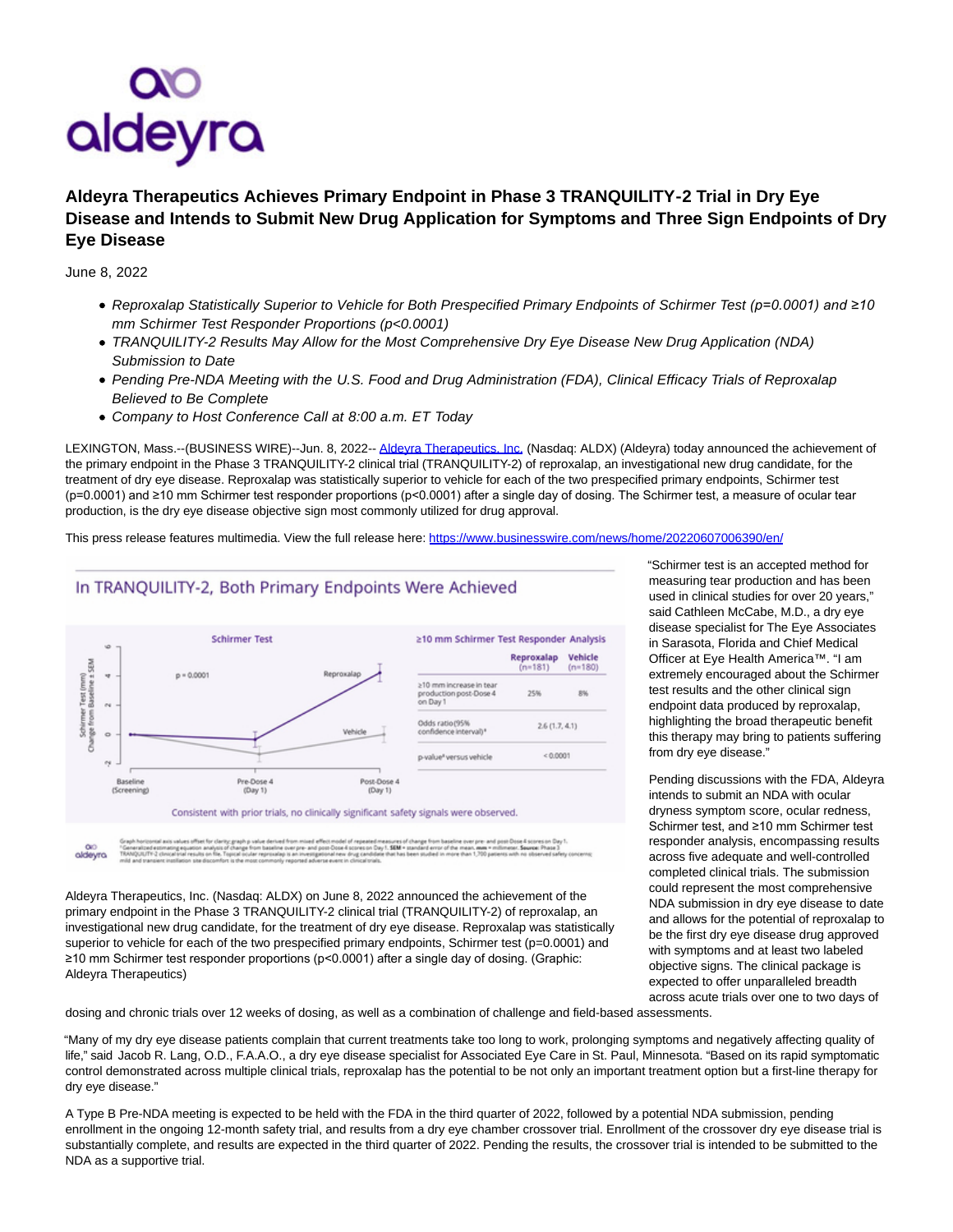

# **Aldeyra Therapeutics Achieves Primary Endpoint in Phase 3 TRANQUILITY‑2 Trial in Dry Eye Disease and Intends to Submit New Drug Application for Symptoms and Three Sign Endpoints of Dry Eye Disease**

June 8, 2022

- Reproxalap Statistically Superior to Vehicle for Both Prespecified Primary Endpoints of Schirmer Test *(p=0.0001) and ≥10* mm Schirmer Test Responder Proportions (p<0.0001)
- TRANQUILITY-2 Results May Allow for the Most Comprehensive Dry Eye Disease New Drug Application (NDA) Submission to Date
- Pending Pre-NDA Meeting with the U.S. Food and Drug Administration (FDA), Clinical Efficacy Trials of Reproxalap Believed to Be Complete
- Company to Host Conference Call at 8:00 a.m. ET Today

LEXINGTON, Mass.--(BUSINESS WIRE)--Jun. 8, 2022-- [Aldeyra Therapeutics, Inc. \(](https://cts.businesswire.com/ct/CT?id=smartlink&url=http%3A%2F%2Fwww.aldeyra.com&esheet=52743080&newsitemid=20220607006390&lan=en-US&anchor=Aldeyra+Therapeutics%2C+Inc.&index=1&md5=616197c5b9a646e563517a4803dec264)Nasdaq: ALDX) (Aldeyra) today announced the achievement of the primary endpoint in the Phase 3 TRANQUILITY-2 clinical trial (TRANQUILITY-2) of reproxalap, an investigational new drug candidate, for the treatment of dry eye disease. Reproxalap was statistically superior to vehicle for each of the two prespecified primary endpoints, Schirmer test (p=0.0001) and ≥10 mm Schirmer test responder proportions (p<0.0001) after a single day of dosing. The Schirmer test, a measure of ocular tear production, is the dry eye disease objective sign most commonly utilized for drug approval.

This press release features multimedia. View the full release here:<https://www.businesswire.com/news/home/20220607006390/en/>

## In TRANQUILITY-2, Both Primary Endpoints Were Achieved



lect model of repeated measures of change from baseline over pre-an<br>ost-Dose-II scores on Day 1**. SEM** = standard error of the mean, <del>nom</del> = i<br>tonal new drug candidate that has been studied in more than 1,700 pa aldeyra n analysis of<br>its on file. To

Aldeyra Therapeutics, Inc. (Nasdaq: ALDX) on June 8, 2022 announced the achievement of the primary endpoint in the Phase 3 TRANQUILITY-2 clinical trial (TRANQUILITY-2) of reproxalap, an investigational new drug candidate, for the treatment of dry eye disease. Reproxalap was statistically superior to vehicle for each of the two prespecified primary endpoints, Schirmer test (p=0.0001) and ≥10 mm Schirmer test responder proportions (p<0.0001) after a single day of dosing. (Graphic: Aldeyra Therapeutics)

dosing and chronic trials over 12 weeks of dosing, as well as a combination of challenge and field-based assessments.

"Schirmer test is an accepted method for measuring tear production and has been used in clinical studies for over 20 years," said Cathleen McCabe, M.D., a dry eye disease specialist for The Eye Associates in Sarasota, Florida and Chief Medical Officer at Eye Health America™. "I am extremely encouraged about the Schirmer test results and the other clinical sign endpoint data produced by reproxalap, highlighting the broad therapeutic benefit this therapy may bring to patients suffering from dry eye disease."

Pending discussions with the FDA, Aldeyra intends to submit an NDA with ocular dryness symptom score, ocular redness, Schirmer test, and ≥10 mm Schirmer test responder analysis, encompassing results across five adequate and well-controlled completed clinical trials. The submission could represent the most comprehensive NDA submission in dry eye disease to date and allows for the potential of reproxalap to be the first dry eye disease drug approved with symptoms and at least two labeled objective signs. The clinical package is expected to offer unparalleled breadth across acute trials over one to two days of

"Many of my dry eye disease patients complain that current treatments take too long to work, prolonging symptoms and negatively affecting quality of life," said Jacob R. Lang, O.D., F.A.A.O., a dry eye disease specialist for Associated Eye Care in St. Paul, Minnesota. "Based on its rapid symptomatic control demonstrated across multiple clinical trials, reproxalap has the potential to be not only an important treatment option but a first-line therapy for dry eye disease."

A Type B Pre-NDA meeting is expected to be held with the FDA in the third quarter of 2022, followed by a potential NDA submission, pending enrollment in the ongoing 12-month safety trial, and results from a dry eye chamber crossover trial. Enrollment of the crossover dry eye disease trial is substantially complete, and results are expected in the third quarter of 2022. Pending the results, the crossover trial is intended to be submitted to the NDA as a supportive trial.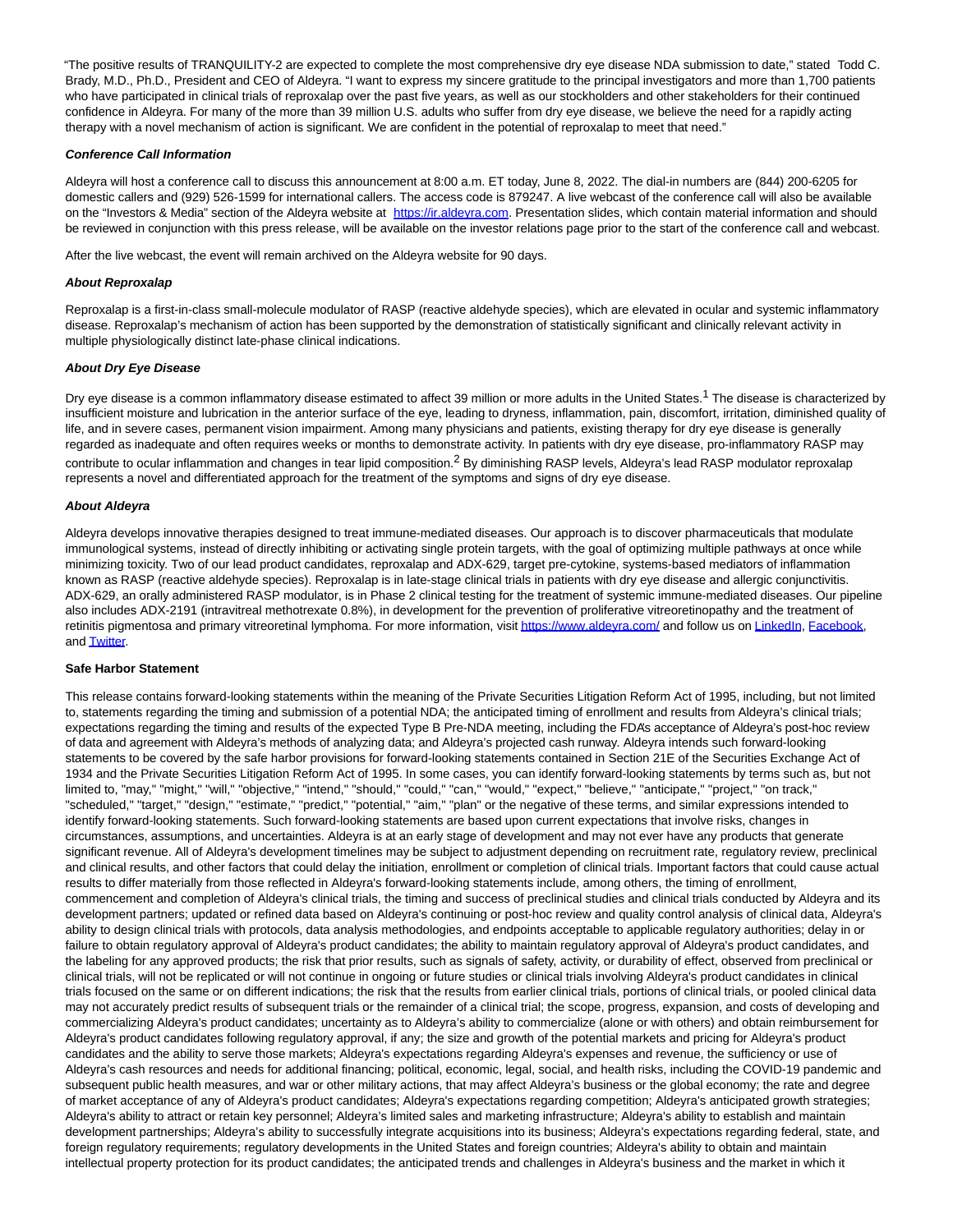"The positive results of TRANQUILITY-2 are expected to complete the most comprehensive dry eye disease NDA submission to date," stated Todd C. Brady, M.D., Ph.D., President and CEO of Aldeyra. "I want to express my sincere gratitude to the principal investigators and more than 1,700 patients who have participated in clinical trials of reproxalap over the past five years, as well as our stockholders and other stakeholders for their continued confidence in Aldeyra. For many of the more than 39 million U.S. adults who suffer from dry eye disease, we believe the need for a rapidly acting therapy with a novel mechanism of action is significant. We are confident in the potential of reproxalap to meet that need."

#### **Conference Call Information**

Aldeyra will host a conference call to discuss this announcement at 8:00 a.m. ET today, June 8, 2022. The dial-in numbers are (844) 200-6205 for domestic callers and (929) 526-1599 for international callers. The access code is 879247. A live webcast of the conference call will also be available on the "Investors & Media" section of the Aldeyra website at [https://ir.aldeyra.com.](https://cts.businesswire.com/ct/CT?id=smartlink&url=https%3A%2F%2Fir.aldeyra.com&esheet=52743080&newsitemid=20220607006390&lan=en-US&anchor=https%3A%2F%2Fir.aldeyra.com&index=2&md5=0f29e025e1504b8562fda763106bda62) Presentation slides, which contain material information and should be reviewed in conjunction with this press release, will be available on the investor relations page prior to the start of the conference call and webcast.

After the live webcast, the event will remain archived on the Aldeyra website for 90 days.

#### **About Reproxalap**

Reproxalap is a first-in-class small-molecule modulator of RASP (reactive aldehyde species), which are elevated in ocular and systemic inflammatory disease. Reproxalap's mechanism of action has been supported by the demonstration of statistically significant and clinically relevant activity in multiple physiologically distinct late-phase clinical indications.

### **About Dry Eye Disease**

Dry eye disease is a common inflammatory disease estimated to affect 39 million or more adults in the United States.<sup>1</sup> The disease is characterized by insufficient moisture and lubrication in the anterior surface of the eye, leading to dryness, inflammation, pain, discomfort, irritation, diminished quality of life, and in severe cases, permanent vision impairment. Among many physicians and patients, existing therapy for dry eye disease is generally regarded as inadequate and often requires weeks or months to demonstrate activity. In patients with dry eye disease, pro-inflammatory RASP may contribute to ocular inflammation and changes in tear lipid composition.<sup>2</sup> By diminishing RASP levels, Aldeyra's lead RASP modulator reproxalap represents a novel and differentiated approach for the treatment of the symptoms and signs of dry eye disease.

#### **About Aldeyra**

Aldeyra develops innovative therapies designed to treat immune-mediated diseases. Our approach is to discover pharmaceuticals that modulate immunological systems, instead of directly inhibiting or activating single protein targets, with the goal of optimizing multiple pathways at once while minimizing toxicity. Two of our lead product candidates, reproxalap and ADX-629, target pre-cytokine, systems-based mediators of inflammation known as RASP (reactive aldehyde species). Reproxalap is in late-stage clinical trials in patients with dry eye disease and allergic conjunctivitis. ADX-629, an orally administered RASP modulator, is in Phase 2 clinical testing for the treatment of systemic immune-mediated diseases. Our pipeline also includes ADX-2191 (intravitreal methotrexate 0.8%), in development for the prevention of proliferative vitreoretinopathy and the treatment of retinitis pigmentosa and primary vitreoretinal lymphoma. For more information, visi[t https://www.aldeyra.com/ a](https://cts.businesswire.com/ct/CT?id=smartlink&url=https%3A%2F%2Fwww.aldeyra.com%2F&esheet=52743080&newsitemid=20220607006390&lan=en-US&anchor=https%3A%2F%2Fwww.aldeyra.com%2F&index=3&md5=cbe8d4f78e941d26dedcea1c2d78dff6)nd follow us o[n LinkedIn,](https://cts.businesswire.com/ct/CT?id=smartlink&url=https%3A%2F%2Fwww.linkedin.com%2Fcompany%2F25175889&esheet=52743080&newsitemid=20220607006390&lan=en-US&anchor=LinkedIn&index=4&md5=ec7329fd9e677d60ee7a7a647bc0d6a5) Eacebook, and **Twitter**.

#### **Safe Harbor Statement**

This release contains forward-looking statements within the meaning of the Private Securities Litigation Reform Act of 1995, including, but not limited to, statements regarding the timing and submission of a potential NDA; the anticipated timing of enrollment and results from Aldeyra's clinical trials; expectations regarding the timing and results of the expected Type B Pre-NDA meeting, including the FDA's acceptance of Aldeyra's post-hoc review of data and agreement with Aldeyra's methods of analyzing data; and Aldeyra's projected cash runway. Aldeyra intends such forward-looking statements to be covered by the safe harbor provisions for forward-looking statements contained in Section 21E of the Securities Exchange Act of 1934 and the Private Securities Litigation Reform Act of 1995. In some cases, you can identify forward-looking statements by terms such as, but not limited to, "may," "might," "will," "objective," "intend," "should," "could," "can," "would," "expect," "believe," "anticipate," "project," "on track," "scheduled," "target," "design," "estimate," "predict," "potential," "aim," "plan" or the negative of these terms, and similar expressions intended to identify forward-looking statements. Such forward-looking statements are based upon current expectations that involve risks, changes in circumstances, assumptions, and uncertainties. Aldeyra is at an early stage of development and may not ever have any products that generate significant revenue. All of Aldeyra's development timelines may be subject to adjustment depending on recruitment rate, regulatory review, preclinical and clinical results, and other factors that could delay the initiation, enrollment or completion of clinical trials. Important factors that could cause actual results to differ materially from those reflected in Aldeyra's forward-looking statements include, among others, the timing of enrollment, commencement and completion of Aldeyra's clinical trials, the timing and success of preclinical studies and clinical trials conducted by Aldeyra and its development partners; updated or refined data based on Aldeyra's continuing or post-hoc review and quality control analysis of clinical data, Aldeyra's ability to design clinical trials with protocols, data analysis methodologies, and endpoints acceptable to applicable regulatory authorities; delay in or failure to obtain regulatory approval of Aldeyra's product candidates; the ability to maintain regulatory approval of Aldeyra's product candidates, and the labeling for any approved products; the risk that prior results, such as signals of safety, activity, or durability of effect, observed from preclinical or clinical trials, will not be replicated or will not continue in ongoing or future studies or clinical trials involving Aldeyra's product candidates in clinical trials focused on the same or on different indications; the risk that the results from earlier clinical trials, portions of clinical trials, or pooled clinical data may not accurately predict results of subsequent trials or the remainder of a clinical trial; the scope, progress, expansion, and costs of developing and commercializing Aldeyra's product candidates; uncertainty as to Aldeyra's ability to commercialize (alone or with others) and obtain reimbursement for Aldeyra's product candidates following regulatory approval, if any; the size and growth of the potential markets and pricing for Aldeyra's product candidates and the ability to serve those markets; Aldeyra's expectations regarding Aldeyra's expenses and revenue, the sufficiency or use of Aldeyra's cash resources and needs for additional financing; political, economic, legal, social, and health risks, including the COVID-19 pandemic and subsequent public health measures, and war or other military actions, that may affect Aldeyra's business or the global economy; the rate and degree of market acceptance of any of Aldeyra's product candidates; Aldeyra's expectations regarding competition; Aldeyra's anticipated growth strategies; Aldeyra's ability to attract or retain key personnel; Aldeyra's limited sales and marketing infrastructure; Aldeyra's ability to establish and maintain development partnerships; Aldeyra's ability to successfully integrate acquisitions into its business; Aldeyra's expectations regarding federal, state, and foreign regulatory requirements; regulatory developments in the United States and foreign countries; Aldeyra's ability to obtain and maintain intellectual property protection for its product candidates; the anticipated trends and challenges in Aldeyra's business and the market in which it